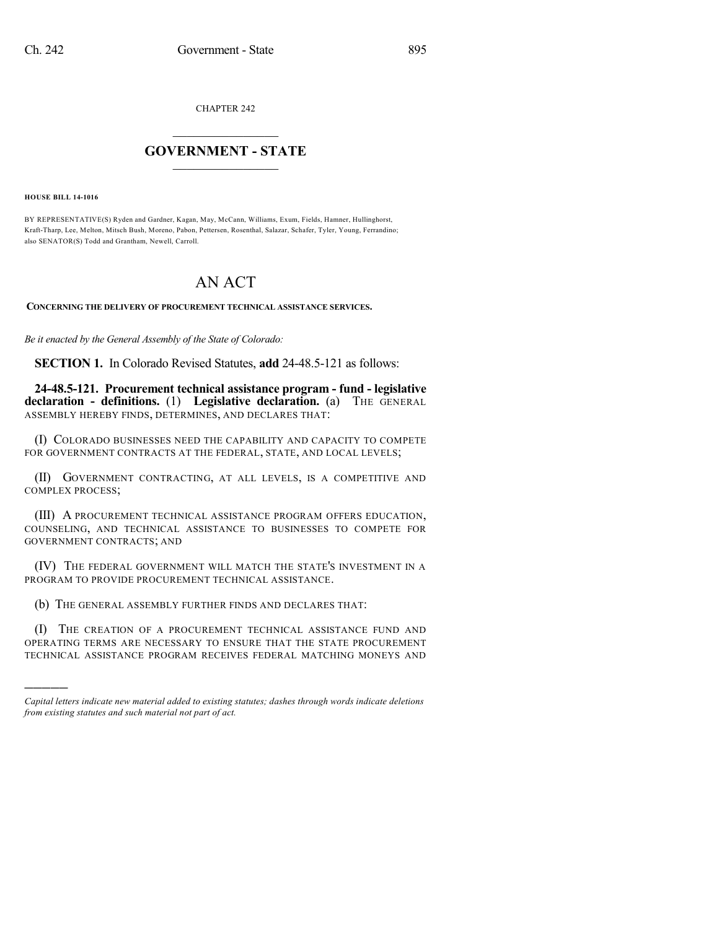CHAPTER 242

## $\mathcal{L}_\text{max}$  . The set of the set of the set of the set of the set of the set of the set of the set of the set of the set of the set of the set of the set of the set of the set of the set of the set of the set of the set **GOVERNMENT - STATE**  $\_$   $\_$   $\_$   $\_$   $\_$   $\_$   $\_$   $\_$

**HOUSE BILL 14-1016**

)))))

BY REPRESENTATIVE(S) Ryden and Gardner, Kagan, May, McCann, Williams, Exum, Fields, Hamner, Hullinghorst, Kraft-Tharp, Lee, Melton, Mitsch Bush, Moreno, Pabon, Pettersen, Rosenthal, Salazar, Schafer, Tyler, Young, Ferrandino; also SENATOR(S) Todd and Grantham, Newell, Carroll.

## AN ACT

**CONCERNING THE DELIVERY OF PROCUREMENT TECHNICAL ASSISTANCE SERVICES.**

*Be it enacted by the General Assembly of the State of Colorado:*

**SECTION 1.** In Colorado Revised Statutes, **add** 24-48.5-121 as follows:

**24-48.5-121. Procurement technical assistance program - fund - legislative declaration - definitions.** (1) **Legislative declaration.** (a) THE GENERAL ASSEMBLY HEREBY FINDS, DETERMINES, AND DECLARES THAT:

(I) COLORADO BUSINESSES NEED THE CAPABILITY AND CAPACITY TO COMPETE FOR GOVERNMENT CONTRACTS AT THE FEDERAL, STATE, AND LOCAL LEVELS;

(II) GOVERNMENT CONTRACTING, AT ALL LEVELS, IS A COMPETITIVE AND COMPLEX PROCESS;

(III) A PROCUREMENT TECHNICAL ASSISTANCE PROGRAM OFFERS EDUCATION, COUNSELING, AND TECHNICAL ASSISTANCE TO BUSINESSES TO COMPETE FOR GOVERNMENT CONTRACTS; AND

(IV) THE FEDERAL GOVERNMENT WILL MATCH THE STATE'S INVESTMENT IN A PROGRAM TO PROVIDE PROCUREMENT TECHNICAL ASSISTANCE.

(b) THE GENERAL ASSEMBLY FURTHER FINDS AND DECLARES THAT:

(I) THE CREATION OF A PROCUREMENT TECHNICAL ASSISTANCE FUND AND OPERATING TERMS ARE NECESSARY TO ENSURE THAT THE STATE PROCUREMENT TECHNICAL ASSISTANCE PROGRAM RECEIVES FEDERAL MATCHING MONEYS AND

*Capital letters indicate new material added to existing statutes; dashes through words indicate deletions from existing statutes and such material not part of act.*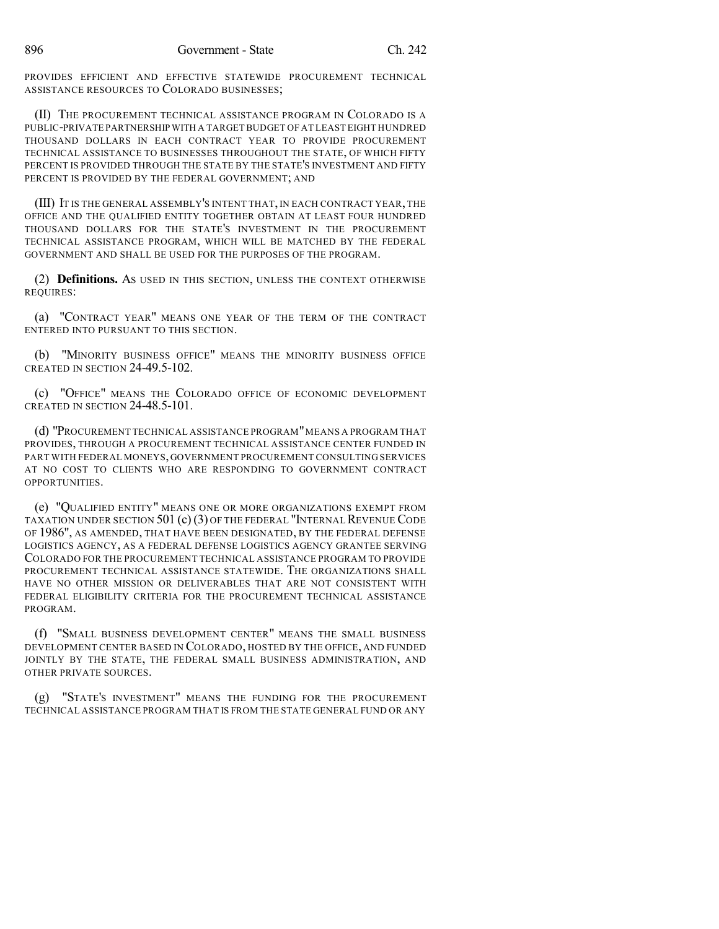PROVIDES EFFICIENT AND EFFECTIVE STATEWIDE PROCUREMENT TECHNICAL ASSISTANCE RESOURCES TO COLORADO BUSINESSES;

(II) THE PROCUREMENT TECHNICAL ASSISTANCE PROGRAM IN COLORADO IS A PUBLIC-PRIVATE PARTNERSHIP WITH A TARGETBUDGET OF AT LEAST EIGHT HUNDRED THOUSAND DOLLARS IN EACH CONTRACT YEAR TO PROVIDE PROCUREMENT TECHNICAL ASSISTANCE TO BUSINESSES THROUGHOUT THE STATE, OF WHICH FIFTY PERCENT IS PROVIDED THROUGH THE STATE BY THE STATE'S INVESTMENT AND FIFTY PERCENT IS PROVIDED BY THE FEDERAL GOVERNMENT; AND

(III) IT IS THE GENERAL ASSEMBLY'S INTENT THAT, IN EACH CONTRACT YEAR, THE OFFICE AND THE QUALIFIED ENTITY TOGETHER OBTAIN AT LEAST FOUR HUNDRED THOUSAND DOLLARS FOR THE STATE'S INVESTMENT IN THE PROCUREMENT TECHNICAL ASSISTANCE PROGRAM, WHICH WILL BE MATCHED BY THE FEDERAL GOVERNMENT AND SHALL BE USED FOR THE PURPOSES OF THE PROGRAM.

(2) **Definitions.** AS USED IN THIS SECTION, UNLESS THE CONTEXT OTHERWISE REQUIRES:

(a) "CONTRACT YEAR" MEANS ONE YEAR OF THE TERM OF THE CONTRACT ENTERED INTO PURSUANT TO THIS SECTION.

(b) "MINORITY BUSINESS OFFICE" MEANS THE MINORITY BUSINESS OFFICE CREATED IN SECTION 24-49.5-102.

(c) "OFFICE" MEANS THE COLORADO OFFICE OF ECONOMIC DEVELOPMENT CREATED IN SECTION 24-48.5-101.

(d) "PROCUREMENT TECHNICAL ASSISTANCE PROGRAM"MEANS A PROGRAM THAT PROVIDES, THROUGH A PROCUREMENT TECHNICAL ASSISTANCE CENTER FUNDED IN PART WITH FEDERAL MONEYS, GOVERNMENT PROCUREMENT CONSULTING SERVICES AT NO COST TO CLIENTS WHO ARE RESPONDING TO GOVERNMENT CONTRACT OPPORTUNITIES.

(e) "QUALIFIED ENTITY" MEANS ONE OR MORE ORGANIZATIONS EXEMPT FROM TAXATION UNDER SECTION 501  $(c)$  (3) OF THE FEDERAL "INTERNAL REVENUE CODE OF 1986", AS AMENDED, THAT HAVE BEEN DESIGNATED, BY THE FEDERAL DEFENSE LOGISTICS AGENCY, AS A FEDERAL DEFENSE LOGISTICS AGENCY GRANTEE SERVING COLORADO FOR THE PROCUREMENT TECHNICAL ASSISTANCE PROGRAM TO PROVIDE PROCUREMENT TECHNICAL ASSISTANCE STATEWIDE. THE ORGANIZATIONS SHALL HAVE NO OTHER MISSION OR DELIVERABLES THAT ARE NOT CONSISTENT WITH FEDERAL ELIGIBILITY CRITERIA FOR THE PROCUREMENT TECHNICAL ASSISTANCE PROGRAM.

(f) "SMALL BUSINESS DEVELOPMENT CENTER" MEANS THE SMALL BUSINESS DEVELOPMENT CENTER BASED IN COLORADO, HOSTED BY THE OFFICE, AND FUNDED JOINTLY BY THE STATE, THE FEDERAL SMALL BUSINESS ADMINISTRATION, AND OTHER PRIVATE SOURCES.

(g) "STATE'S INVESTMENT" MEANS THE FUNDING FOR THE PROCUREMENT TECHNICAL ASSISTANCE PROGRAM THAT IS FROM THE STATE GENERAL FUND OR ANY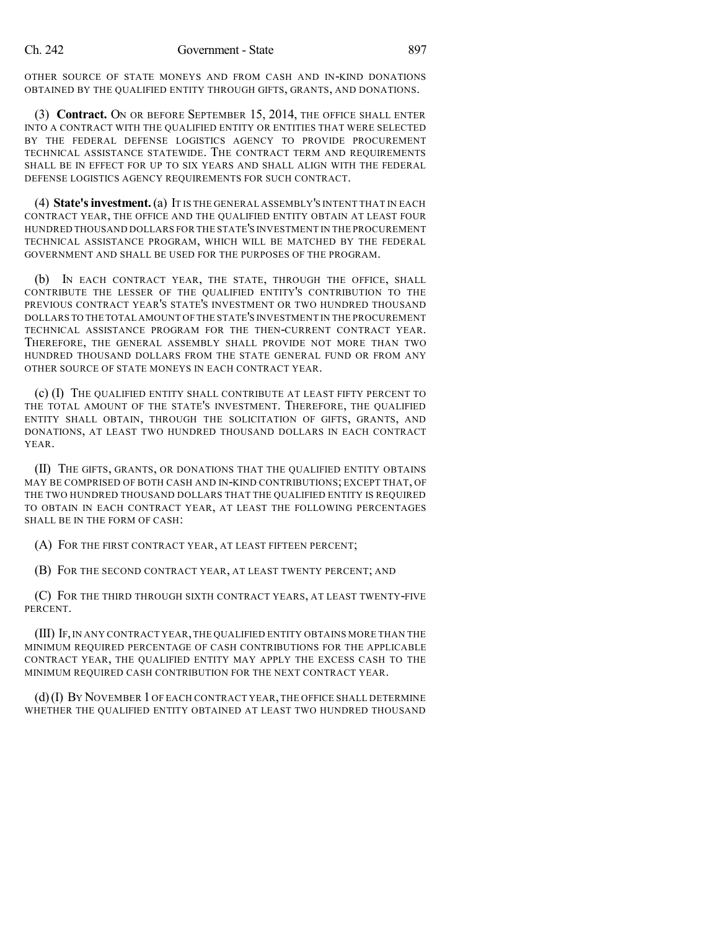OTHER SOURCE OF STATE MONEYS AND FROM CASH AND IN-KIND DONATIONS OBTAINED BY THE QUALIFIED ENTITY THROUGH GIFTS, GRANTS, AND DONATIONS.

(3) **Contract.** ON OR BEFORE SEPTEMBER 15, 2014, THE OFFICE SHALL ENTER INTO A CONTRACT WITH THE QUALIFIED ENTITY OR ENTITIES THAT WERE SELECTED BY THE FEDERAL DEFENSE LOGISTICS AGENCY TO PROVIDE PROCUREMENT TECHNICAL ASSISTANCE STATEWIDE. THE CONTRACT TERM AND REQUIREMENTS SHALL BE IN EFFECT FOR UP TO SIX YEARS AND SHALL ALIGN WITH THE FEDERAL DEFENSE LOGISTICS AGENCY REQUIREMENTS FOR SUCH CONTRACT.

(4) **State'sinvestment.**(a) IT IS THE GENERAL ASSEMBLY'S INTENT THAT IN EACH CONTRACT YEAR, THE OFFICE AND THE QUALIFIED ENTITY OBTAIN AT LEAST FOUR HUNDRED THOUSAND DOLLARS FOR THE STATE'S INVESTMENT IN THE PROCUREMENT TECHNICAL ASSISTANCE PROGRAM, WHICH WILL BE MATCHED BY THE FEDERAL GOVERNMENT AND SHALL BE USED FOR THE PURPOSES OF THE PROGRAM.

(b) IN EACH CONTRACT YEAR, THE STATE, THROUGH THE OFFICE, SHALL CONTRIBUTE THE LESSER OF THE QUALIFIED ENTITY'S CONTRIBUTION TO THE PREVIOUS CONTRACT YEAR'S STATE'S INVESTMENT OR TWO HUNDRED THOUSAND DOLLARS TO THE TOTAL AMOUNT OF THE STATE'S INVESTMENT IN THE PROCUREMENT TECHNICAL ASSISTANCE PROGRAM FOR THE THEN-CURRENT CONTRACT YEAR. THEREFORE, THE GENERAL ASSEMBLY SHALL PROVIDE NOT MORE THAN TWO HUNDRED THOUSAND DOLLARS FROM THE STATE GENERAL FUND OR FROM ANY OTHER SOURCE OF STATE MONEYS IN EACH CONTRACT YEAR.

(c) (I) THE QUALIFIED ENTITY SHALL CONTRIBUTE AT LEAST FIFTY PERCENT TO THE TOTAL AMOUNT OF THE STATE'S INVESTMENT. THEREFORE, THE QUALIFIED ENTITY SHALL OBTAIN, THROUGH THE SOLICITATION OF GIFTS, GRANTS, AND DONATIONS, AT LEAST TWO HUNDRED THOUSAND DOLLARS IN EACH CONTRACT YEAR.

(II) THE GIFTS, GRANTS, OR DONATIONS THAT THE QUALIFIED ENTITY OBTAINS MAY BE COMPRISED OF BOTH CASH AND IN-KIND CONTRIBUTIONS; EXCEPT THAT, OF THE TWO HUNDRED THOUSAND DOLLARS THAT THE QUALIFIED ENTITY IS REQUIRED TO OBTAIN IN EACH CONTRACT YEAR, AT LEAST THE FOLLOWING PERCENTAGES SHALL BE IN THE FORM OF CASH:

(A) FOR THE FIRST CONTRACT YEAR, AT LEAST FIFTEEN PERCENT;

(B) FOR THE SECOND CONTRACT YEAR, AT LEAST TWENTY PERCENT; AND

(C) FOR THE THIRD THROUGH SIXTH CONTRACT YEARS, AT LEAST TWENTY-FIVE PERCENT.

(III) IF,IN ANY CONTRACT YEAR,THE QUALIFIED ENTITY OBTAINS MORE THAN THE MINIMUM REQUIRED PERCENTAGE OF CASH CONTRIBUTIONS FOR THE APPLICABLE CONTRACT YEAR, THE QUALIFIED ENTITY MAY APPLY THE EXCESS CASH TO THE MINIMUM REQUIRED CASH CONTRIBUTION FOR THE NEXT CONTRACT YEAR.

(d)(I) BY NOVEMBER 1 OF EACH CONTRACT YEAR,THE OFFICE SHALL DETERMINE WHETHER THE QUALIFIED ENTITY OBTAINED AT LEAST TWO HUNDRED THOUSAND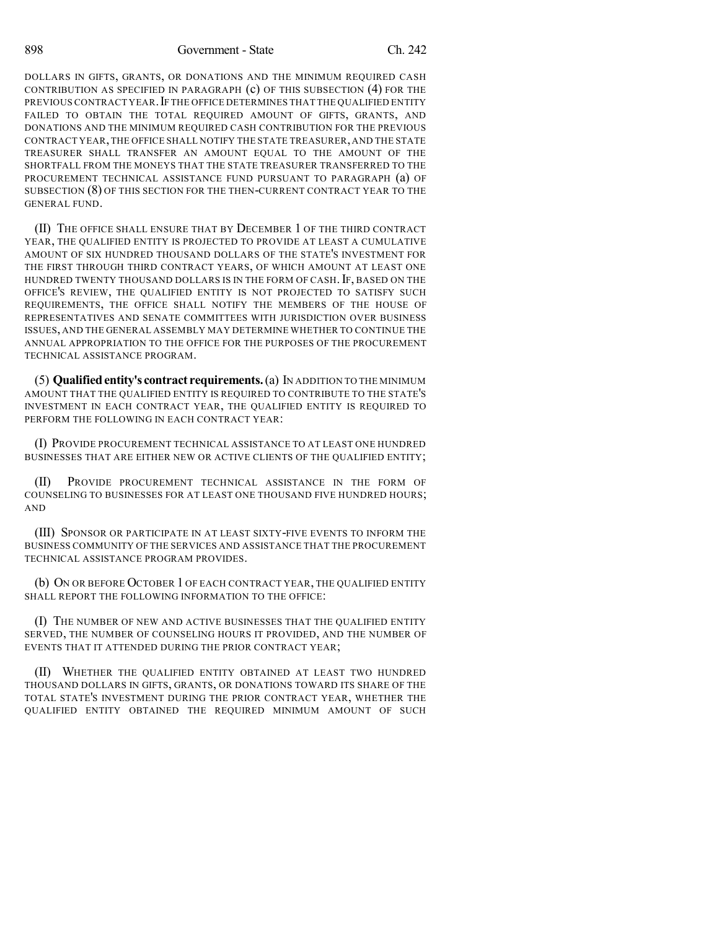898 Government - State Ch. 242

DOLLARS IN GIFTS, GRANTS, OR DONATIONS AND THE MINIMUM REQUIRED CASH CONTRIBUTION AS SPECIFIED IN PARAGRAPH (c) OF THIS SUBSECTION (4) FOR THE PREVIOUS CONTRACT YEAR.IF THE OFFICE DETERMINES THAT THE QUALIFIED ENTITY FAILED TO OBTAIN THE TOTAL REQUIRED AMOUNT OF GIFTS, GRANTS, AND DONATIONS AND THE MINIMUM REQUIRED CASH CONTRIBUTION FOR THE PREVIOUS CONTRACT YEAR,THE OFFICE SHALL NOTIFY THE STATE TREASURER, AND THE STATE TREASURER SHALL TRANSFER AN AMOUNT EQUAL TO THE AMOUNT OF THE SHORTFALL FROM THE MONEYS THAT THE STATE TREASURER TRANSFERRED TO THE PROCUREMENT TECHNICAL ASSISTANCE FUND PURSUANT TO PARAGRAPH (a) OF SUBSECTION (8) OF THIS SECTION FOR THE THEN-CURRENT CONTRACT YEAR TO THE GENERAL FUND.

(II) THE OFFICE SHALL ENSURE THAT BY DECEMBER 1 OF THE THIRD CONTRACT YEAR, THE QUALIFIED ENTITY IS PROJECTED TO PROVIDE AT LEAST A CUMULATIVE AMOUNT OF SIX HUNDRED THOUSAND DOLLARS OF THE STATE'S INVESTMENT FOR THE FIRST THROUGH THIRD CONTRACT YEARS, OF WHICH AMOUNT AT LEAST ONE HUNDRED TWENTY THOUSAND DOLLARS IS IN THE FORM OF CASH. IF, BASED ON THE OFFICE'S REVIEW, THE QUALIFIED ENTITY IS NOT PROJECTED TO SATISFY SUCH REQUIREMENTS, THE OFFICE SHALL NOTIFY THE MEMBERS OF THE HOUSE OF REPRESENTATIVES AND SENATE COMMITTEES WITH JURISDICTION OVER BUSINESS ISSUES, AND THE GENERAL ASSEMBLY MAY DETERMINE WHETHER TO CONTINUE THE ANNUAL APPROPRIATION TO THE OFFICE FOR THE PURPOSES OF THE PROCUREMENT TECHNICAL ASSISTANCE PROGRAM.

(5) **Qualifiedentity's contract requirements.**(a) IN ADDITION TO THE MINIMUM AMOUNT THAT THE QUALIFIED ENTITY IS REQUIRED TO CONTRIBUTE TO THE STATE'S INVESTMENT IN EACH CONTRACT YEAR, THE QUALIFIED ENTITY IS REQUIRED TO PERFORM THE FOLLOWING IN EACH CONTRACT YEAR:

(I) PROVIDE PROCUREMENT TECHNICAL ASSISTANCE TO AT LEAST ONE HUNDRED BUSINESSES THAT ARE EITHER NEW OR ACTIVE CLIENTS OF THE QUALIFIED ENTITY;

(II) PROVIDE PROCUREMENT TECHNICAL ASSISTANCE IN THE FORM OF COUNSELING TO BUSINESSES FOR AT LEAST ONE THOUSAND FIVE HUNDRED HOURS; AND

(III) SPONSOR OR PARTICIPATE IN AT LEAST SIXTY-FIVE EVENTS TO INFORM THE BUSINESS COMMUNITY OF THE SERVICES AND ASSISTANCE THAT THE PROCUREMENT TECHNICAL ASSISTANCE PROGRAM PROVIDES.

(b) ON OR BEFORE OCTOBER 1 OF EACH CONTRACT YEAR, THE QUALIFIED ENTITY SHALL REPORT THE FOLLOWING INFORMATION TO THE OFFICE:

(I) THE NUMBER OF NEW AND ACTIVE BUSINESSES THAT THE QUALIFIED ENTITY SERVED, THE NUMBER OF COUNSELING HOURS IT PROVIDED, AND THE NUMBER OF EVENTS THAT IT ATTENDED DURING THE PRIOR CONTRACT YEAR;

(II) WHETHER THE QUALIFIED ENTITY OBTAINED AT LEAST TWO HUNDRED THOUSAND DOLLARS IN GIFTS, GRANTS, OR DONATIONS TOWARD ITS SHARE OF THE TOTAL STATE'S INVESTMENT DURING THE PRIOR CONTRACT YEAR, WHETHER THE QUALIFIED ENTITY OBTAINED THE REQUIRED MINIMUM AMOUNT OF SUCH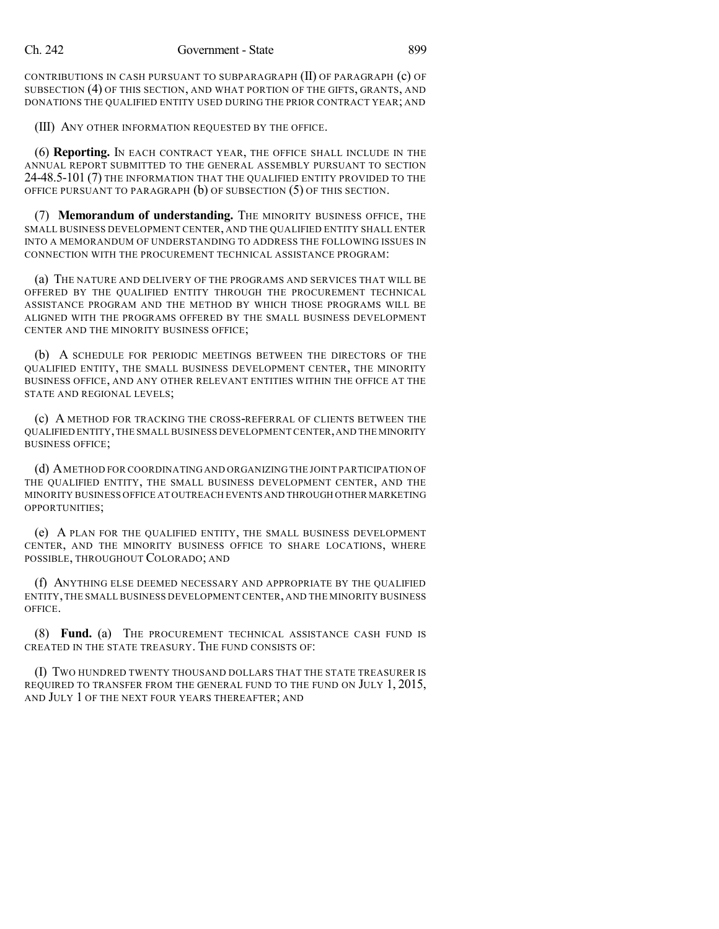CONTRIBUTIONS IN CASH PURSUANT TO SUBPARAGRAPH (II) OF PARAGRAPH (c) OF SUBSECTION (4) OF THIS SECTION, AND WHAT PORTION OF THE GIFTS, GRANTS, AND DONATIONS THE QUALIFIED ENTITY USED DURING THE PRIOR CONTRACT YEAR; AND

(III) ANY OTHER INFORMATION REQUESTED BY THE OFFICE.

(6) **Reporting.** IN EACH CONTRACT YEAR, THE OFFICE SHALL INCLUDE IN THE ANNUAL REPORT SUBMITTED TO THE GENERAL ASSEMBLY PURSUANT TO SECTION 24-48.5-101 (7) THE INFORMATION THAT THE QUALIFIED ENTITY PROVIDED TO THE OFFICE PURSUANT TO PARAGRAPH (b) OF SUBSECTION (5) OF THIS SECTION.

(7) **Memorandum of understanding.** THE MINORITY BUSINESS OFFICE, THE SMALL BUSINESS DEVELOPMENT CENTER, AND THE QUALIFIED ENTITY SHALL ENTER INTO A MEMORANDUM OF UNDERSTANDING TO ADDRESS THE FOLLOWING ISSUES IN CONNECTION WITH THE PROCUREMENT TECHNICAL ASSISTANCE PROGRAM:

(a) THE NATURE AND DELIVERY OF THE PROGRAMS AND SERVICES THAT WILL BE OFFERED BY THE QUALIFIED ENTITY THROUGH THE PROCUREMENT TECHNICAL ASSISTANCE PROGRAM AND THE METHOD BY WHICH THOSE PROGRAMS WILL BE ALIGNED WITH THE PROGRAMS OFFERED BY THE SMALL BUSINESS DEVELOPMENT CENTER AND THE MINORITY BUSINESS OFFICE;

(b) A SCHEDULE FOR PERIODIC MEETINGS BETWEEN THE DIRECTORS OF THE QUALIFIED ENTITY, THE SMALL BUSINESS DEVELOPMENT CENTER, THE MINORITY BUSINESS OFFICE, AND ANY OTHER RELEVANT ENTITIES WITHIN THE OFFICE AT THE STATE AND REGIONAL LEVELS;

(c) A METHOD FOR TRACKING THE CROSS-REFERRAL OF CLIENTS BETWEEN THE QUALIFIED ENTITY,THE SMALL BUSINESS DEVELOPMENT CENTER,AND THE MINORITY BUSINESS OFFICE;

(d) AMETHOD FOR COORDINATING AND ORGANIZING THE JOINT PARTICIPATION OF THE QUALIFIED ENTITY, THE SMALL BUSINESS DEVELOPMENT CENTER, AND THE MINORITY BUSINESS OFFICE AT OUTREACH EVENTS AND THROUGH OTHER MARKETING OPPORTUNITIES;

(e) A PLAN FOR THE QUALIFIED ENTITY, THE SMALL BUSINESS DEVELOPMENT CENTER, AND THE MINORITY BUSINESS OFFICE TO SHARE LOCATIONS, WHERE POSSIBLE, THROUGHOUT COLORADO; AND

(f) ANYTHING ELSE DEEMED NECESSARY AND APPROPRIATE BY THE QUALIFIED ENTITY,THE SMALL BUSINESS DEVELOPMENT CENTER, AND THE MINORITY BUSINESS OFFICE.

(8) **Fund.** (a) THE PROCUREMENT TECHNICAL ASSISTANCE CASH FUND IS CREATED IN THE STATE TREASURY. THE FUND CONSISTS OF:

(I) TWO HUNDRED TWENTY THOUSAND DOLLARS THAT THE STATE TREASURER IS REQUIRED TO TRANSFER FROM THE GENERAL FUND TO THE FUND ON JULY 1, 2015, AND JULY 1 OF THE NEXT FOUR YEARS THEREAFTER; AND